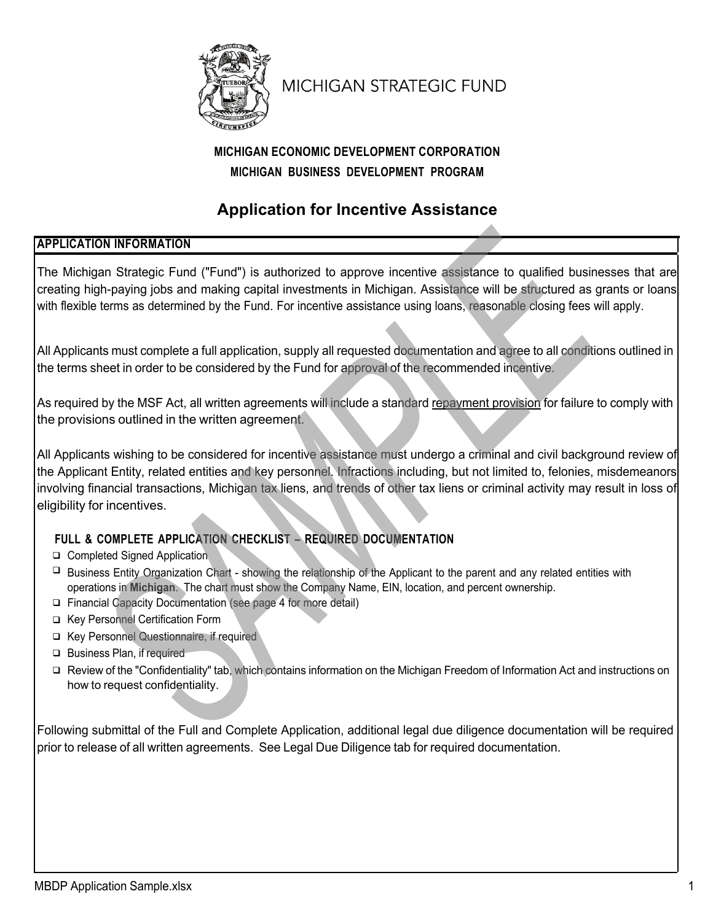

# **MICHIGAN STRATEGIC FUND**

## **MICHIGAN ECONOMIC DEVELOPMENT CORPORATION MICHIGAN BUSINESS DEVELOPMENT PROGRAM**

## **Application for Incentive Assistance**

### **APPLICATION INFORMATION**

The Michigan Strategic Fund ("Fund") is authorized to approve incentive assistance to qualified businesses that are creating high-paying jobs and making capital investments in Michigan. Assistance will be structured as grants or loans with flexible terms as determined by the Fund. For incentive assistance using loans, reasonable closing fees will apply.

All Applicants must complete a full application, supply all requested documentation and agree to all conditions outlined in the terms sheet in order to be considered by the Fund for approval of the recommended incentive.

As required by the MSF Act, all written agreements will include a standard repayment provision for failure to comply with the provisions outlined in the written agreement.

All Applicants wishing to be considered for incentive assistance must undergo a criminal and civil background review of the Applicant Entity, related entities and key personnel. Infractions including, but not limited to, felonies, misdemeanors involving financial transactions, Michigan tax liens, and trends of other tax liens or criminal activity may result in loss of eligibility for incentives.

## **FULL & COMPLETE APPLICATION CHECKLIST – REQUIRED DOCUMENTATION**

- □ Completed Signed Application
- $\Box$  Business Entity Organization Chart showing the relationship of the Applicant to the parent and any related entities with operations in **Michigan**. The chart must show the Company Name, EIN, location, and percent ownership.
- □ Financial Capacity Documentation (see page 4 for more detail)
- □ Key Personnel Certification Form
- □ Key Personnel Questionnaire, if required
- □ Business Plan, if required
- □ Review of the "Confidentiality" tab, which contains information on the Michigan Freedom of Information Act and instructions on how to request confidentiality.

Following submittal of the Full and Complete Application, additional legal due diligence documentation will be required prior to release of all written agreements. See Legal Due Diligence tab for required documentation.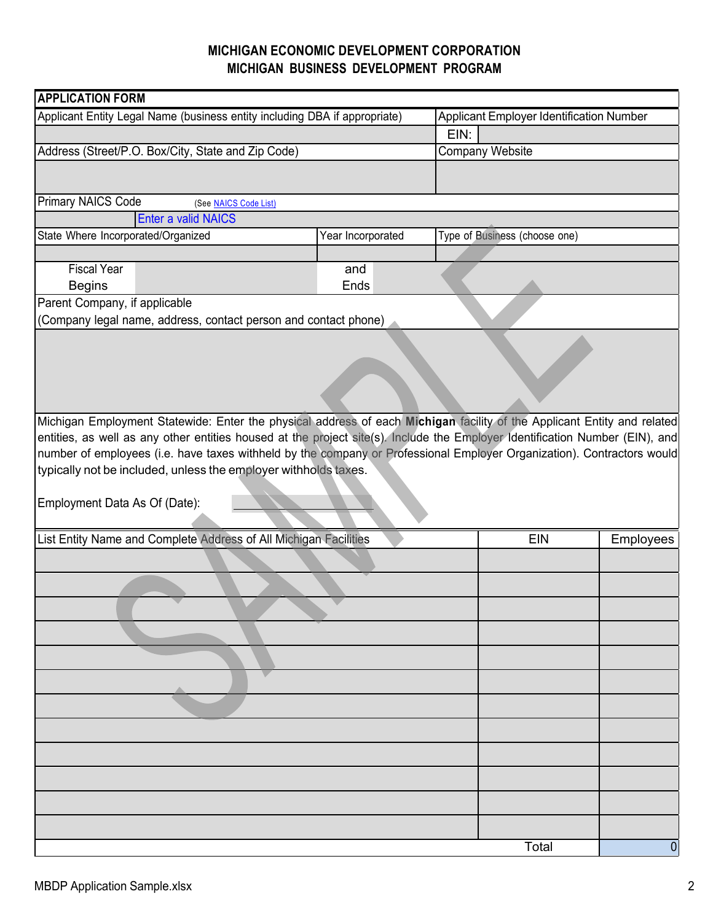| <b>APPLICATION FORM</b>                                                                                                      |                   |                                          |                |  |  |
|------------------------------------------------------------------------------------------------------------------------------|-------------------|------------------------------------------|----------------|--|--|
| Applicant Entity Legal Name (business entity including DBA if appropriate)                                                   |                   | Applicant Employer Identification Number |                |  |  |
|                                                                                                                              |                   | EIN:                                     |                |  |  |
| Address (Street/P.O. Box/City, State and Zip Code)                                                                           |                   | <b>Company Website</b>                   |                |  |  |
|                                                                                                                              |                   |                                          |                |  |  |
| <b>Primary NAICS Code</b><br>(See NAICS Code List)                                                                           |                   |                                          |                |  |  |
| Enter a valid NAICS                                                                                                          |                   |                                          |                |  |  |
| State Where Incorporated/Organized                                                                                           | Year Incorporated | Type of Business (choose one)            |                |  |  |
|                                                                                                                              |                   |                                          |                |  |  |
| <b>Fiscal Year</b>                                                                                                           | and               |                                          |                |  |  |
| <b>Begins</b><br>Parent Company, if applicable                                                                               | Ends              |                                          |                |  |  |
| (Company legal name, address, contact person and contact phone)                                                              |                   |                                          |                |  |  |
|                                                                                                                              |                   |                                          |                |  |  |
|                                                                                                                              |                   |                                          |                |  |  |
|                                                                                                                              |                   |                                          |                |  |  |
|                                                                                                                              |                   |                                          |                |  |  |
|                                                                                                                              |                   |                                          |                |  |  |
| Michigan Employment Statewide: Enter the physical address of each Michigan facility of the Applicant Entity and related      |                   |                                          |                |  |  |
| entities, as well as any other entities housed at the project site(s). Include the Employer Identification Number (EIN), and |                   |                                          |                |  |  |
| number of employees (i.e. have taxes withheld by the company or Professional Employer Organization). Contractors would       |                   |                                          |                |  |  |
| typically not be included, unless the employer withholds taxes.                                                              |                   |                                          |                |  |  |
|                                                                                                                              |                   |                                          |                |  |  |
| Employment Data As Of (Date):                                                                                                |                   |                                          |                |  |  |
|                                                                                                                              |                   |                                          |                |  |  |
| List Entity Name and Complete Address of All Michigan Facilities                                                             | <b>EIN</b>        | Employees                                |                |  |  |
|                                                                                                                              |                   |                                          |                |  |  |
|                                                                                                                              |                   |                                          |                |  |  |
|                                                                                                                              |                   |                                          |                |  |  |
|                                                                                                                              |                   |                                          |                |  |  |
|                                                                                                                              |                   |                                          |                |  |  |
|                                                                                                                              |                   |                                          |                |  |  |
|                                                                                                                              |                   |                                          |                |  |  |
|                                                                                                                              |                   |                                          |                |  |  |
|                                                                                                                              |                   |                                          |                |  |  |
|                                                                                                                              |                   |                                          |                |  |  |
|                                                                                                                              |                   |                                          |                |  |  |
|                                                                                                                              |                   |                                          |                |  |  |
|                                                                                                                              |                   |                                          |                |  |  |
|                                                                                                                              |                   |                                          |                |  |  |
| Total                                                                                                                        |                   |                                          | $\overline{0}$ |  |  |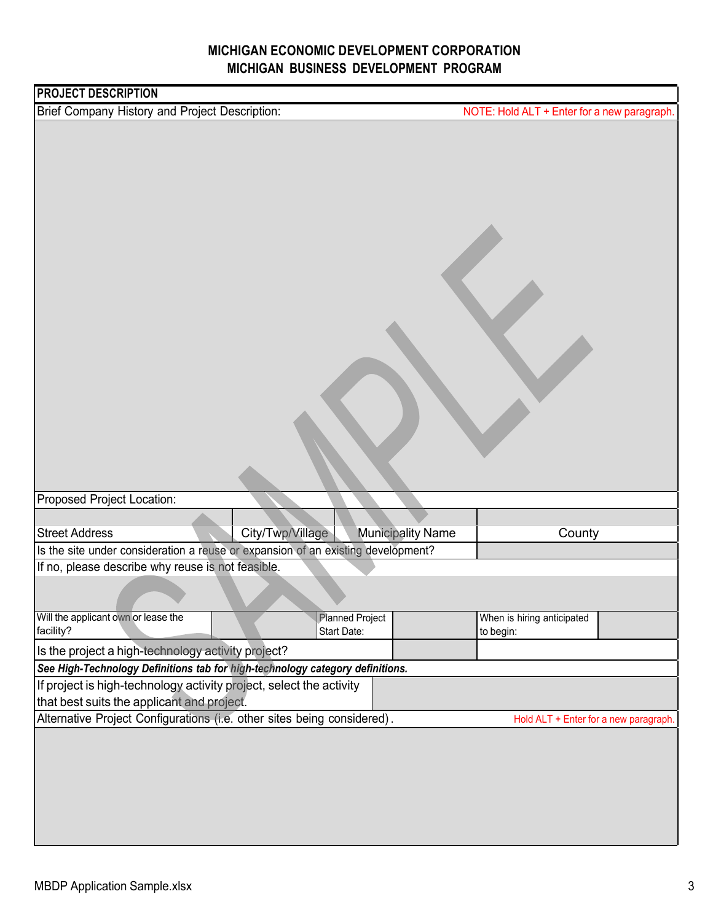| <b>PROJECT DESCRIPTION</b>                                                                                                          |                        |                          |                                             |  |  |
|-------------------------------------------------------------------------------------------------------------------------------------|------------------------|--------------------------|---------------------------------------------|--|--|
| Brief Company History and Project Description:                                                                                      |                        |                          | NOTE: Hold ALT + Enter for a new paragraph. |  |  |
|                                                                                                                                     |                        |                          |                                             |  |  |
| Proposed Project Location:                                                                                                          |                        |                          |                                             |  |  |
|                                                                                                                                     |                        |                          |                                             |  |  |
| <b>Street Address</b><br>Is the site under consideration a reuse or expansion of an existing development?                           | City/Twp/Village       | <b>Municipality Name</b> | County                                      |  |  |
| If no, please describe why reuse is not feasible.                                                                                   |                        |                          |                                             |  |  |
|                                                                                                                                     |                        |                          |                                             |  |  |
| Will the applicant own or lease the                                                                                                 | <b>Planned Project</b> |                          | When is hiring anticipated                  |  |  |
| facility?                                                                                                                           | Start Date:            |                          | to begin:                                   |  |  |
| Is the project a high-technology activity project?<br>See High-Technology Definitions tab for high-technology category definitions. |                        |                          |                                             |  |  |
| If project is high-technology activity project, select the activity                                                                 |                        |                          |                                             |  |  |
| that best suits the applicant and project.                                                                                          |                        |                          |                                             |  |  |
| Alternative Project Configurations (i.e. other sites being considered).                                                             |                        |                          | Hold ALT + Enter for a new paragraph.       |  |  |
|                                                                                                                                     |                        |                          |                                             |  |  |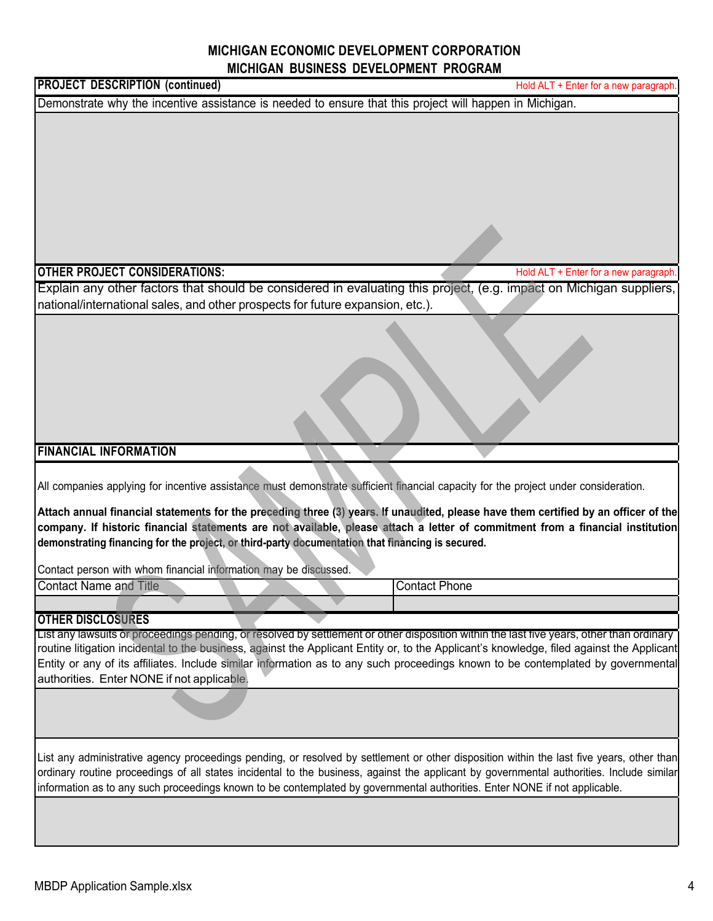### **MICHIGAN ECONOMIC DEVELOPMENT CORPORATION** and the state of the state of the

| MICHIGAN BUSINESS DEVELOPMENT PROGRAM                                                                                                                                                                                                                                                                                                                                                                                                                                                                                                                                                |                                       |  |  |  |  |
|--------------------------------------------------------------------------------------------------------------------------------------------------------------------------------------------------------------------------------------------------------------------------------------------------------------------------------------------------------------------------------------------------------------------------------------------------------------------------------------------------------------------------------------------------------------------------------------|---------------------------------------|--|--|--|--|
| <b>PROJECT DESCRIPTION (continued)</b>                                                                                                                                                                                                                                                                                                                                                                                                                                                                                                                                               | Hold ALT + Enter for a new paragraph. |  |  |  |  |
| Demonstrate why the incentive assistance is needed to ensure that this project will happen in Michigan.                                                                                                                                                                                                                                                                                                                                                                                                                                                                              |                                       |  |  |  |  |
|                                                                                                                                                                                                                                                                                                                                                                                                                                                                                                                                                                                      |                                       |  |  |  |  |
|                                                                                                                                                                                                                                                                                                                                                                                                                                                                                                                                                                                      |                                       |  |  |  |  |
| <b>OTHER PROJECT CONSIDERATIONS:</b>                                                                                                                                                                                                                                                                                                                                                                                                                                                                                                                                                 | Hold ALT + Enter for a new paragraph. |  |  |  |  |
| Explain any other factors that should be considered in evaluating this project, (e.g. impact on Michigan suppliers,<br>national/international sales, and other prospects for future expansion, etc.).                                                                                                                                                                                                                                                                                                                                                                                |                                       |  |  |  |  |
|                                                                                                                                                                                                                                                                                                                                                                                                                                                                                                                                                                                      |                                       |  |  |  |  |
| <b>FINANCIAL INFORMATION</b>                                                                                                                                                                                                                                                                                                                                                                                                                                                                                                                                                         |                                       |  |  |  |  |
|                                                                                                                                                                                                                                                                                                                                                                                                                                                                                                                                                                                      |                                       |  |  |  |  |
| All companies applying for incentive assistance must demonstrate sufficient financial capacity for the project under consideration.<br>Attach annual financial statements for the preceding three (3) years. If unaudited, please have them certified by an officer of the<br>company. If historic financial statements are not available, please attach a letter of commitment from a financial institution<br>demonstrating financing for the project, or third-party documentation that financing is secured.<br>Contact person with whom financial information may be discussed. |                                       |  |  |  |  |
| <b>Contact Name and Title</b>                                                                                                                                                                                                                                                                                                                                                                                                                                                                                                                                                        | <b>Contact Phone</b>                  |  |  |  |  |
|                                                                                                                                                                                                                                                                                                                                                                                                                                                                                                                                                                                      |                                       |  |  |  |  |
| <b>OTHER DISCLOSURES</b>                                                                                                                                                                                                                                                                                                                                                                                                                                                                                                                                                             |                                       |  |  |  |  |
| List any lawsuits or proceedings pending, or resolved by settlement or other disposition within the last five years, other than ordinary<br>routine litigation incidental to the business, against the Applicant Entity or, to the Applicant's knowledge, filed against the Applicant<br>Entity or any of its affiliates. Include similar information as to any such proceedings known to be contemplated by governmental<br>authorities. Enter NONE if not applicable.                                                                                                              |                                       |  |  |  |  |
|                                                                                                                                                                                                                                                                                                                                                                                                                                                                                                                                                                                      |                                       |  |  |  |  |
| List any administrative agency proceedings pending, or resolved by settlement or other disposition within the last five years, other than<br>ordinary routine proceedings of all states incidental to the business, against the applicant by governmental authorities. Include similar<br>information as to any such proceedings known to be contemplated by governmental authorities. Enter NONE if not applicable.                                                                                                                                                                 |                                       |  |  |  |  |
|                                                                                                                                                                                                                                                                                                                                                                                                                                                                                                                                                                                      |                                       |  |  |  |  |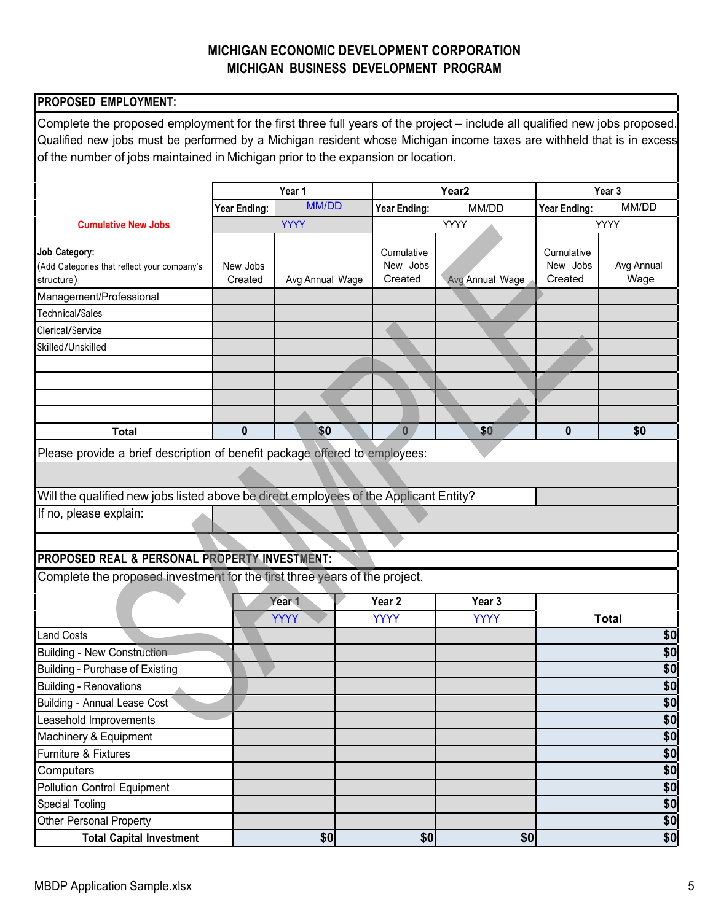| PROPOSED EMPLOYMENT:                                                                                                                                                                                                                                |                     |                 |                                   |                   |                                   |                    |
|-----------------------------------------------------------------------------------------------------------------------------------------------------------------------------------------------------------------------------------------------------|---------------------|-----------------|-----------------------------------|-------------------|-----------------------------------|--------------------|
| Complete the proposed employment for the first three full years of the project – include all qualified new jobs proposed.<br>Qualified new jobs must be performed by a Michigan resident whose Michigan income taxes are withheld that is in excess |                     |                 |                                   |                   |                                   |                    |
| of the number of jobs maintained in Michigan prior to the expansion or location.                                                                                                                                                                    |                     |                 |                                   |                   |                                   |                    |
|                                                                                                                                                                                                                                                     |                     |                 |                                   |                   |                                   |                    |
|                                                                                                                                                                                                                                                     |                     | Year 1          |                                   | Year <sub>2</sub> | Year 3                            |                    |
|                                                                                                                                                                                                                                                     | Year Ending:        | <b>MM/DD</b>    | <b>Year Ending:</b>               | MM/DD             | Year Ending:                      | MM/DD              |
| <b>Cumulative New Jobs</b>                                                                                                                                                                                                                          |                     | <b>YYYY</b>     |                                   | YYYY              |                                   | YYYY               |
| <b>Job Category:</b><br>(Add Categories that reflect your company's<br>structure)                                                                                                                                                                   | New Jobs<br>Created | Avg Annual Wage | Cumulative<br>New Jobs<br>Created | Avg Annual Wage   | Cumulative<br>New Jobs<br>Created | Avg Annual<br>Wage |
| Management/Professional                                                                                                                                                                                                                             |                     |                 |                                   |                   |                                   |                    |
| Technical/Sales                                                                                                                                                                                                                                     |                     |                 |                                   |                   |                                   |                    |
| Clerical/Service                                                                                                                                                                                                                                    |                     |                 |                                   |                   |                                   |                    |
| Skilled/Unskilled                                                                                                                                                                                                                                   |                     |                 |                                   |                   |                                   |                    |
|                                                                                                                                                                                                                                                     |                     |                 |                                   |                   |                                   |                    |
|                                                                                                                                                                                                                                                     |                     |                 |                                   |                   |                                   |                    |
|                                                                                                                                                                                                                                                     |                     |                 |                                   |                   |                                   |                    |
|                                                                                                                                                                                                                                                     |                     |                 |                                   |                   |                                   |                    |
| <b>Total</b>                                                                                                                                                                                                                                        | 0                   | \$0             | $\bf{0}$                          | \$0               | 0                                 | \$0                |
| Will the qualified new jobs listed above be direct employees of the Applicant Entity?                                                                                                                                                               |                     |                 |                                   |                   |                                   |                    |
| If no, please explain:                                                                                                                                                                                                                              |                     |                 |                                   |                   |                                   |                    |
| PROPOSED REAL & PERSONAL PROPERTY INVESTMENT:                                                                                                                                                                                                       |                     |                 |                                   |                   |                                   |                    |
| Complete the proposed investment for the first three years of the project.                                                                                                                                                                          |                     |                 |                                   |                   |                                   |                    |
|                                                                                                                                                                                                                                                     |                     | Year 1          | Year <sub>2</sub>                 | Year 3            |                                   |                    |
|                                                                                                                                                                                                                                                     |                     | <b>YYYY</b>     | <b>YYYY</b>                       | <b>YYYY</b>       |                                   | Total              |
| <b>Land Costs</b>                                                                                                                                                                                                                                   |                     |                 |                                   |                   |                                   | \$0                |
| <b>Building - New Construction</b>                                                                                                                                                                                                                  |                     |                 |                                   |                   |                                   | \$0                |
| <b>Building - Purchase of Existing</b>                                                                                                                                                                                                              |                     |                 |                                   |                   |                                   | \$0                |
| <b>Building - Renovations</b>                                                                                                                                                                                                                       |                     |                 |                                   |                   |                                   | \$0                |
| <b>Building - Annual Lease Cost</b>                                                                                                                                                                                                                 |                     |                 |                                   |                   |                                   | \$0                |
| Leasehold Improvements                                                                                                                                                                                                                              |                     |                 |                                   |                   |                                   | \$0                |
| Machinery & Equipment                                                                                                                                                                                                                               |                     |                 |                                   |                   |                                   | \$0                |
| Furniture & Fixtures                                                                                                                                                                                                                                |                     |                 |                                   |                   |                                   | \$0                |
| Computers                                                                                                                                                                                                                                           |                     |                 |                                   |                   |                                   | \$0                |
| <b>Pollution Control Equipment</b>                                                                                                                                                                                                                  |                     |                 |                                   |                   |                                   | \$0                |
| <b>Special Tooling</b>                                                                                                                                                                                                                              |                     |                 |                                   |                   |                                   | \$0                |
| <b>Other Personal Property</b>                                                                                                                                                                                                                      |                     |                 |                                   |                   |                                   | \$0                |
| <b>Total Capital Investment</b>                                                                                                                                                                                                                     |                     | \$0             | \$0                               | \$0               |                                   | \$0                |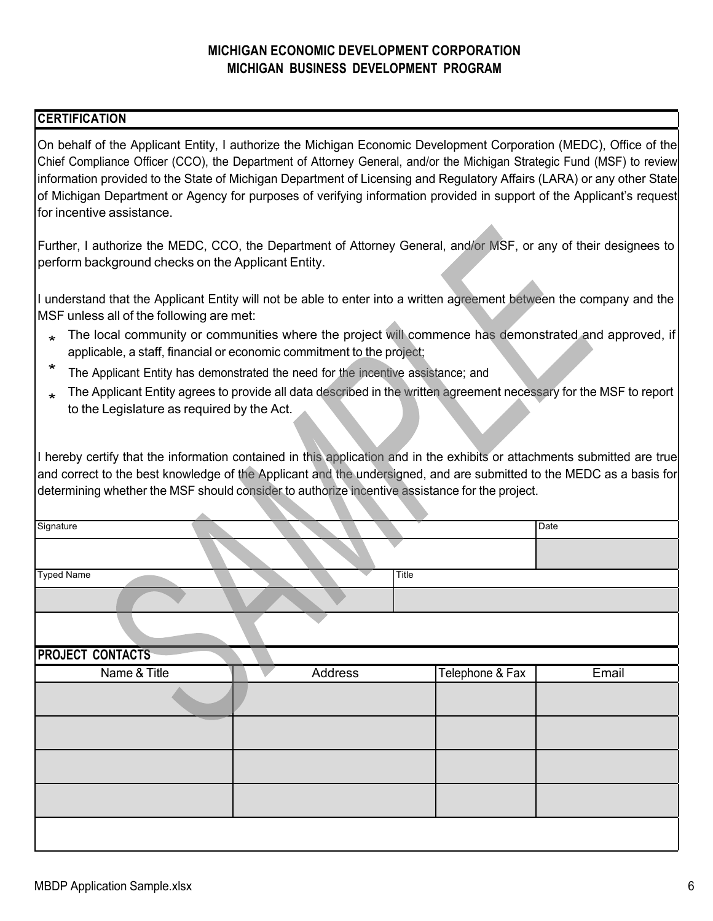#### **CERTIFICATION**

On behalf of the Applicant Entity, I authorize the Michigan Economic Development Corporation (MEDC), Office of the Chief Compliance Officer (CCO), the Department of Attorney General, and/or the Michigan Strategic Fund (MSF) to review information provided to the State of Michigan Department of Licensing and Regulatory Affairs (LARA) or any other State of Michigan Department or Agency for purposes of verifying information provided in support of the Applicant's request for incentive assistance.

Further, I authorize the MEDC, CCO, the Department of Attorney General, and/or MSF, or any of their designees to perform background checks on the Applicant Entity.

I understand that the Applicant Entity will not be able to enter into a written agreement between the company and the MSF unless all of the following are met:

- \* The local community or communities where the project will commence has demonstrated and approved, if applicable, a staff, financial or economic commitment to the project;
- \* The Applicant Entity has demonstrated the need for the incentive assistance; and
- The Applicant Entity agrees to provide all data described in the written agreement necessary for the MSF to report to the Legislature as required by the Act.

I hereby certify that the information contained in this application and in the exhibits or attachments submitted are true and correct to the best knowledge of the Applicant and the undersigned, and are submitted to the MEDC as a basis for determining whether the MSF should consider to authorize incentive assistance for the project.

| Signature               |         |       |                 | Date  |
|-------------------------|---------|-------|-----------------|-------|
|                         |         |       |                 |       |
|                         |         |       |                 |       |
| <b>Typed Name</b>       |         | Title |                 |       |
|                         |         |       |                 |       |
|                         |         |       |                 |       |
| <b>PROJECT CONTACTS</b> |         |       |                 |       |
| Name & Title            | Address |       | Telephone & Fax | Email |
|                         |         |       |                 |       |
|                         |         |       |                 |       |
|                         |         |       |                 |       |
|                         |         |       |                 |       |
|                         |         |       |                 |       |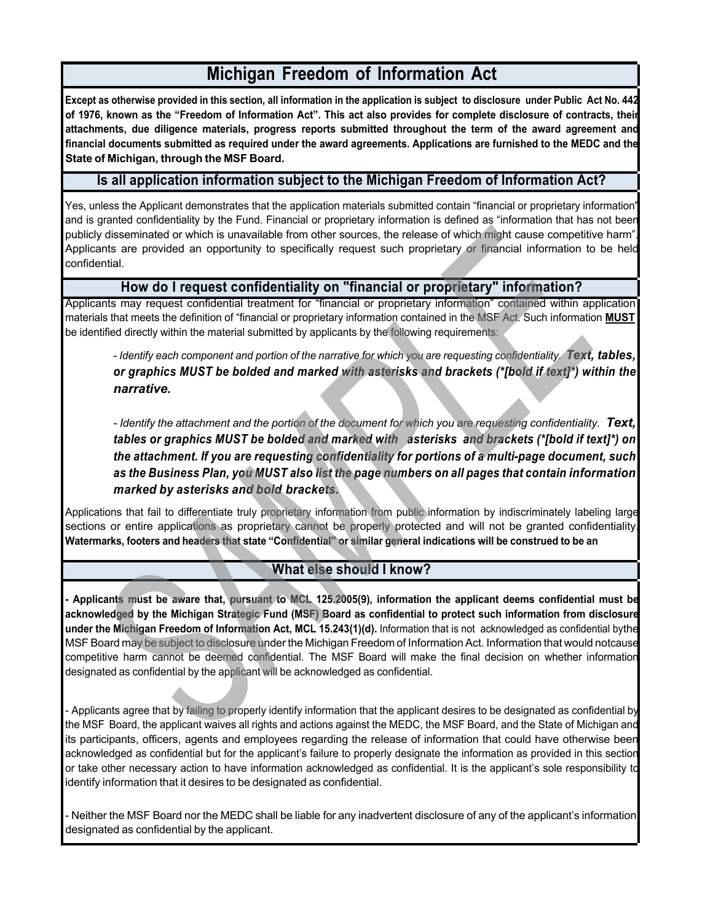## **Michigan Freedom of Information Act**

**Except as otherwise provided in this section, all information in the application is subject to disclosure under Public Act No. 442** of 1976, known as the "Freedom of Information Act". This act also provides for complete disclosure of contracts, their **attachments, due diligence materials, progress reports submitted throughout the term of the award agreement and financial documents submitted as required under the award agreements. Applications are furnished to the MEDC and the State of Michigan, through the MSF Board.**

#### **Is all application information subject to the Michigan Freedom of Information Act?**

Yes, unless the Applicant demonstrates that the application materials submitted contain "financial or proprietary information" and is granted confidentiality by the Fund. Financial or proprietary information is defined as "information that has not been publicly disseminated or which is unavailable from other sources, the release of which might cause competitive harm". Applicants are provided an opportunity to specifically request such proprietary or financial information to be held confidential.

#### **How do I request confidentiality on "financial or proprietary" information?**

Applicants may request confidential treatment for "financial or proprietary information" contained within application materials that meets the definition of "financial or proprietary information contained in the MSF Act. Such information **MUST** be identified directly within the material submitted by applicants by the following requirements:

- Identify each component and portion of the narrative for which you are requesting confidentiality. Text, tables, *or graphics MUST be bolded and marked with asterisks and brackets (\*[bold if text]\*) within the narrative.*

- Identify the attachment and the portion of the document for which you are requesting confidentiality. Text, *tables or graphics MUST be bolded and marked with asterisks and brackets (\*[bold if text]\*) on the attachment. If you are requesting confidentiality for portions of a multi-page document, such as the Business Plan, you MUST also list the page numbers on all pages that contain information marked by asterisks and bold brackets.*

Applications that fail to differentiate truly proprietary information from public information by indiscriminately labeling large sections or entire applications as proprietary cannot be properly protected and will not be granted confidentiality Watermarks, footers and headers that state "Confidential" or similar general indications will be construed to be an

#### **What else should I know?**

**- Applicants must be aware that, pursuant to MCL 125.2005(9), information the applicant deems confidential must be acknowledged by the Michigan Strategic Fund (MSF) Board as confidential to protect such information from disclosure under the Michigan Freedom of Information Act, MCL 15.243(1)(d).** Information that is not acknowledged as confidential bythe MSF Board may be subject to disclosure under the Michigan Freedom of Information Act. Information that would notcause competitive harm cannot be deemed confidential. The MSF Board will make the final decision on whether information designated as confidential by the applicant will be acknowledged as confidential.

- Applicants agree that by failing to properly identify information that the applicant desires to be designated as confidential by the MSF Board, the applicant waives all rights and actions against the MEDC, the MSF Board, and the State of Michigan and its participants, officers, agents and employees regarding the release of information that could have otherwise been acknowledged as confidential but for the applicant's failure to properly designate the information as provided in this section or take other necessary action to have information acknowledged as confidential. It is the applicant's sole responsibility to identify information that it desires to be designated as confidential.

- Neither the MSF Board nor the MEDC shall be liable for any inadvertent disclosure of any of the applicant's information designated as confidential by the applicant.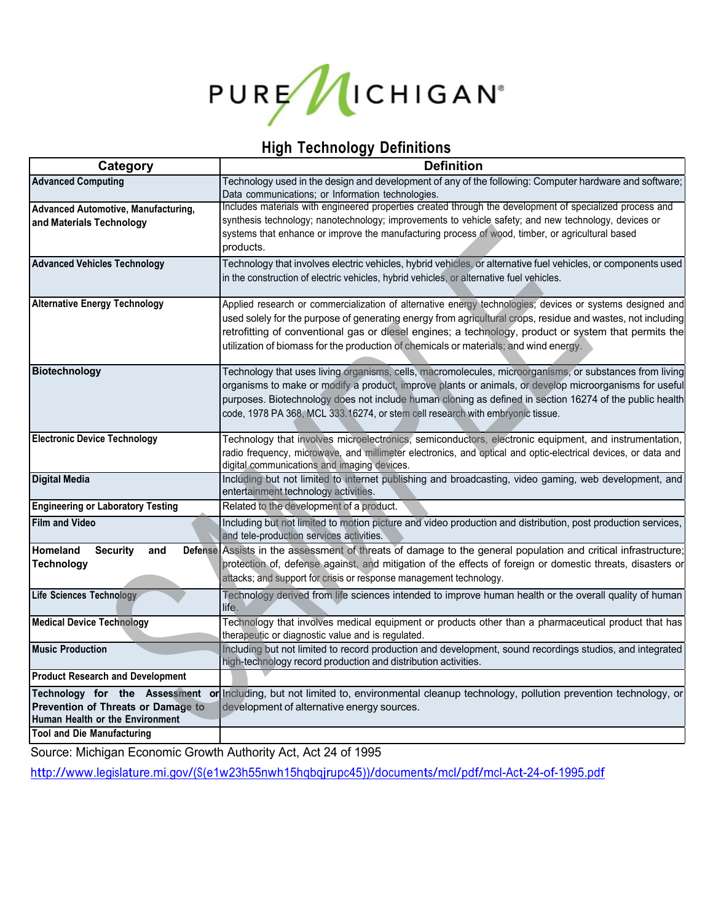

# **High Technology Definitions**

| Category                                                              | <b>Definition</b>                                                                                                                                                                                                                                                                                                                                                                                                         |  |  |
|-----------------------------------------------------------------------|---------------------------------------------------------------------------------------------------------------------------------------------------------------------------------------------------------------------------------------------------------------------------------------------------------------------------------------------------------------------------------------------------------------------------|--|--|
| <b>Advanced Computing</b>                                             | Technology used in the design and development of any of the following: Computer hardware and software;<br>Data communications; or Information technologies.                                                                                                                                                                                                                                                               |  |  |
| Advanced Automotive, Manufacturing,<br>and Materials Technology       | Includes materials with engineered properties created through the development of specialized process and<br>synthesis technology; nanotechnology; improvements to vehicle safety; and new technology, devices or<br>systems that enhance or improve the manufacturing process of wood, timber, or agricultural based<br>products.                                                                                         |  |  |
| <b>Advanced Vehicles Technology</b>                                   | Technology that involves electric vehicles, hybrid vehicles, or alternative fuel vehicles, or components used<br>in the construction of electric vehicles, hybrid vehicles, or alternative fuel vehicles.                                                                                                                                                                                                                 |  |  |
| <b>Alternative Energy Technology</b>                                  | Applied research or commercialization of alternative energy technologies; devices or systems designed and<br>used solely for the purpose of generating energy from agricultural crops, residue and wastes, not including<br>retrofitting of conventional gas or diesel engines; a technology, product or system that permits the<br>utilization of biomass for the production of chemicals or materials; and wind energy. |  |  |
| <b>Biotechnology</b>                                                  | Technology that uses living organisms, cells, macromolecules, microorganisms, or substances from living<br>organisms to make or modify a product, improve plants or animals, or develop microorganisms for useful<br>purposes. Biotechnology does not include human cloning as defined in section 16274 of the public health<br>code, 1978 PA 368, MCL 333.16274, or stem cell research with embryonic tissue.            |  |  |
| <b>Electronic Device Technology</b>                                   | Technology that involves microelectronics, semiconductors, electronic equipment, and instrumentation,<br>radio frequency, microwave, and millimeter electronics, and optical and optic-electrical devices, or data and<br>digital communications and imaging devices.                                                                                                                                                     |  |  |
| <b>Digital Media</b>                                                  | Including but not limited to internet publishing and broadcasting, video gaming, web development, and<br>entertainment technology activities.                                                                                                                                                                                                                                                                             |  |  |
| <b>Engineering or Laboratory Testing</b>                              | Related to the development of a product.                                                                                                                                                                                                                                                                                                                                                                                  |  |  |
| <b>Film and Video</b>                                                 | Including but not limited to motion picture and video production and distribution, post production services,<br>and tele-production services activities.                                                                                                                                                                                                                                                                  |  |  |
| Homeland<br><b>Security</b><br>and<br><b>Technology</b>               | Defense Assists in the assessment of threats of damage to the general population and critical infrastructure;<br>protection of, defense against, and mitigation of the effects of foreign or domestic threats, disasters or<br>attacks; and support for crisis or response management technology.                                                                                                                         |  |  |
| Life Sciences Technology                                              | Technology derived from life sciences intended to improve human health or the overall quality of human<br>life.                                                                                                                                                                                                                                                                                                           |  |  |
| <b>Medical Device Technology</b>                                      | Technology that involves medical equipment or products other than a pharmaceutical product that has<br>therapeutic or diagnostic value and is regulated.                                                                                                                                                                                                                                                                  |  |  |
| <b>Music Production</b>                                               | Including but not limited to record production and development, sound recordings studios, and integrated<br>high-technology record production and distribution activities.                                                                                                                                                                                                                                                |  |  |
| <b>Product Research and Development</b>                               |                                                                                                                                                                                                                                                                                                                                                                                                                           |  |  |
| Prevention of Threats or Damage to<br>Human Health or the Environment | Technology for the Assessment or Including, but not limited to, environmental cleanup technology, pollution prevention technology, or<br>development of alternative energy sources.                                                                                                                                                                                                                                       |  |  |
| <b>Tool and Die Manufacturing</b>                                     |                                                                                                                                                                                                                                                                                                                                                                                                                           |  |  |

Source: Michigan Economic Growth Authority Act, Act 24 of 1995

http://www.legislature.mi.gov/(S(e1w23h55nwh15hqbqjrupc45))/documents/mcl/pdf/mcl-Act-24-of-1995.pdf